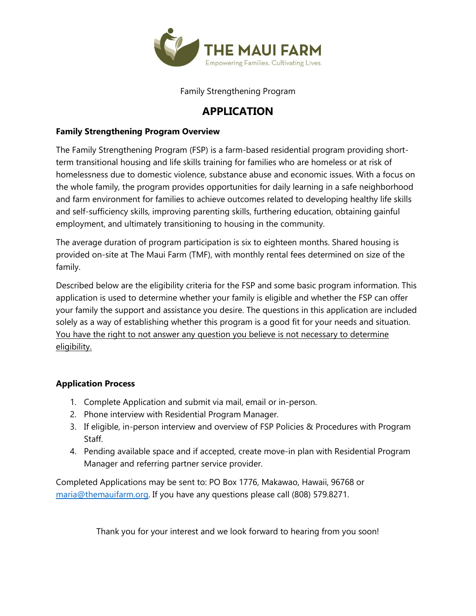

Family Strengthening Program

## **APPLICATION**

### **Family Strengthening Program Overview**

The Family Strengthening Program (FSP) is a farm-based residential program providing shortterm transitional housing and life skills training for families who are homeless or at risk of homelessness due to domestic violence, substance abuse and economic issues. With a focus on the whole family, the program provides opportunities for daily learning in a safe neighborhood and farm environment for families to achieve outcomes related to developing healthy life skills and self-sufficiency skills, improving parenting skills, furthering education, obtaining gainful employment, and ultimately transitioning to housing in the community.

The average duration of program participation is six to eighteen months. Shared housing is provided on-site at The Maui Farm (TMF), with monthly rental fees determined on size of the family.

Described below are the eligibility criteria for the FSP and some basic program information. This application is used to determine whether your family is eligible and whether the FSP can offer your family the support and assistance you desire. The questions in this application are included solely as a way of establishing whether this program is a good fit for your needs and situation. You have the right to not answer any question you believe is not necessary to determine eligibility.

### **Application Process**

- 1. Complete Application and submit via mail, email or in-person.
- 2. Phone interview with Residential Program Manager.
- 3. If eligible, in-person interview and overview of FSP Policies & Procedures with Program Staff.
- 4. Pending available space and if accepted, create move-in plan with Residential Program Manager and referring partner service provider.

Completed Applications may be sent to: PO Box 1776, Makawao, Hawaii, 96768 or [maria@themauifarm.org.](mailto:maria@themauifarm.org) If you have any questions please call (808) 579.8271.

Thank you for your interest and we look forward to hearing from you soon!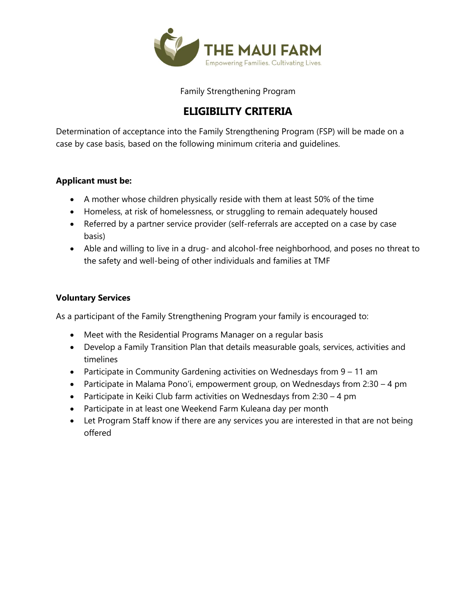

Family Strengthening Program

# **ELIGIBILITY CRITERIA**

Determination of acceptance into the Family Strengthening Program (FSP) will be made on a case by case basis, based on the following minimum criteria and guidelines.

### **Applicant must be:**

- A mother whose children physically reside with them at least 50% of the time
- Homeless, at risk of homelessness, or struggling to remain adequately housed
- Referred by a partner service provider (self-referrals are accepted on a case by case basis)
- Able and willing to live in a drug- and alcohol-free neighborhood, and poses no threat to the safety and well-being of other individuals and families at TMF

#### **Voluntary Services**

As a participant of the Family Strengthening Program your family is encouraged to:

- Meet with the Residential Programs Manager on a regular basis
- Develop a Family Transition Plan that details measurable goals, services, activities and timelines
- Participate in Community Gardening activities on Wednesdays from 9 11 am
- Participate in Malama Pono'i, empowerment group, on Wednesdays from 2:30 4 pm
- Participate in Keiki Club farm activities on Wednesdays from 2:30 4 pm
- Participate in at least one Weekend Farm Kuleana day per month
- Let Program Staff know if there are any services you are interested in that are not being offered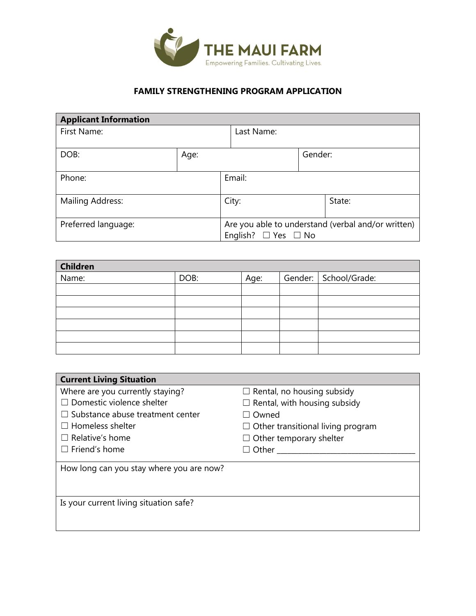

### **FAMILY STRENGTHENING PROGRAM APPLICATION**

| <b>Applicant Information</b> |      |                                                    |         |        |
|------------------------------|------|----------------------------------------------------|---------|--------|
| First Name:                  |      | Last Name:                                         |         |        |
|                              |      |                                                    |         |        |
| DOB:                         | Age: |                                                    | Gender: |        |
|                              |      |                                                    |         |        |
| Phone:                       |      | Email:                                             |         |        |
|                              |      |                                                    |         |        |
| Mailing Address:             |      | City:                                              |         | State: |
|                              |      |                                                    |         |        |
| Preferred language:          |      | Are you able to understand (verbal and/or written) |         |        |
|                              |      | English?<br>$\Box$ Yes $\Box$ No                   |         |        |

| <b>Children</b> |      |      |                         |
|-----------------|------|------|-------------------------|
| Name:           | DOB: | Age: | Gender:   School/Grade: |
|                 |      |      |                         |
|                 |      |      |                         |
|                 |      |      |                         |
|                 |      |      |                         |
|                 |      |      |                         |
|                 |      |      |                         |

| <b>Current Living Situation</b>          |                                          |
|------------------------------------------|------------------------------------------|
| Where are you currently staying?         | $\Box$ Rental, no housing subsidy        |
| $\Box$ Domestic violence shelter         | $\Box$ Rental, with housing subsidy      |
| $\Box$ Substance abuse treatment center  | Owned                                    |
| $\Box$ Homeless shelter                  | $\Box$ Other transitional living program |
| $\Box$ Relative's home                   | $\Box$ Other temporary shelter           |
| $\Box$ Friend's home                     | Other                                    |
| How long can you stay where you are now? |                                          |
|                                          |                                          |
|                                          |                                          |
| Is your current living situation safe?   |                                          |
|                                          |                                          |
|                                          |                                          |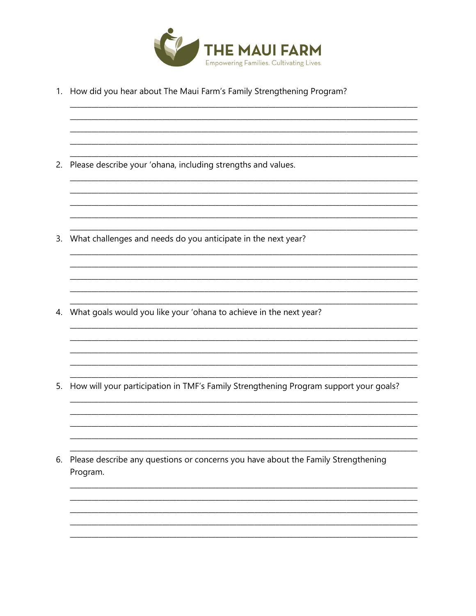

<u> 1980 - Jan James James Jan James James Jan James James Jan James James Jan Jan James Jan Jan Jan Jan Jan Jan</u>

1. How did you hear about The Maui Farm's Family Strengthening Program?

2. Please describe your 'ohana, including strengths and values.

3. What challenges and needs do you anticipate in the next year?

4. What goals would you like your 'ohana to achieve in the next year?

5. How will your participation in TMF's Family Strengthening Program support your goals?

6. Please describe any questions or concerns you have about the Family Strengthening Program.